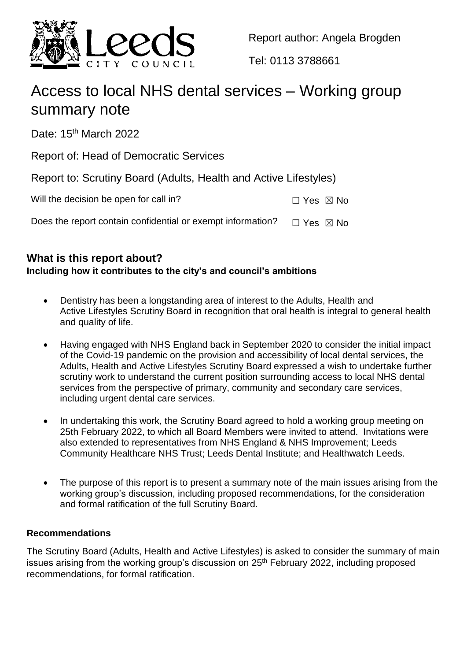

Report author: Angela Brogden

Tel: 0113 3788661

# Access to local NHS dental services – Working group summary note

Date: 15<sup>th</sup> March 2022

Report of: Head of Democratic Services

Report to: Scrutiny Board (Adults, Health and Active Lifestyles)

| Will the decision be open for call in? | $\Box$ Yes $\boxtimes$ No |  |
|----------------------------------------|---------------------------|--|
|                                        |                           |  |

Does the report contain confidential or exempt information?  $\Box$  Yes  $\boxtimes$  No

# **What is this report about?**

# **Including how it contributes to the city's and council's ambitions**

- Dentistry has been a longstanding area of interest to the Adults, Health and Active Lifestyles Scrutiny Board in recognition that oral health is integral to general health and quality of life.
- Having engaged with NHS England back in September 2020 to consider the initial impact of the Covid-19 pandemic on the provision and accessibility of local dental services, the Adults, Health and Active Lifestyles Scrutiny Board expressed a wish to undertake further scrutiny work to understand the current position surrounding access to local NHS dental services from the perspective of primary, community and secondary care services, including urgent dental care services.
- In undertaking this work, the Scrutiny Board agreed to hold a working group meeting on 25th February 2022, to which all Board Members were invited to attend. Invitations were also extended to representatives from NHS England & NHS Improvement; Leeds Community Healthcare NHS Trust; Leeds Dental Institute; and Healthwatch Leeds.
- The purpose of this report is to present a summary note of the main issues arising from the working group's discussion, including proposed recommendations, for the consideration and formal ratification of the full Scrutiny Board.

### **Recommendations**

The Scrutiny Board (Adults, Health and Active Lifestyles) is asked to consider the summary of main issues arising from the working group's discussion on  $25<sup>th</sup>$  February 2022, including proposed recommendations, for formal ratification.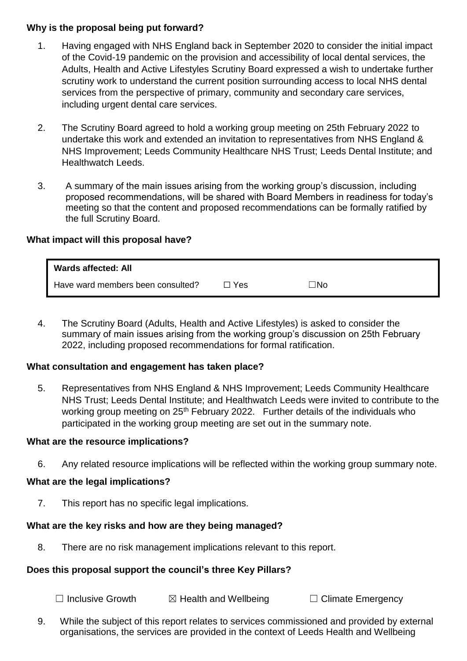#### **Why is the proposal being put forward?**

- 1. Having engaged with NHS England back in September 2020 to consider the initial impact of the Covid-19 pandemic on the provision and accessibility of local dental services, the Adults, Health and Active Lifestyles Scrutiny Board expressed a wish to undertake further scrutiny work to understand the current position surrounding access to local NHS dental services from the perspective of primary, community and secondary care services, including urgent dental care services.
- 2. The Scrutiny Board agreed to hold a working group meeting on 25th February 2022 to undertake this work and extended an invitation to representatives from NHS England & NHS Improvement; Leeds Community Healthcare NHS Trust; Leeds Dental Institute; and Healthwatch Leeds.
- 3. A summary of the main issues arising from the working group's discussion, including proposed recommendations, will be shared with Board Members in readiness for today's meeting so that the content and proposed recommendations can be formally ratified by the full Scrutiny Board.

#### **What impact will this proposal have?**

| <b>Wards affected: All</b>        |            |           |
|-----------------------------------|------------|-----------|
| Have ward members been consulted? | $\Box$ Yes | $\Box$ No |

4. The Scrutiny Board (Adults, Health and Active Lifestyles) is asked to consider the summary of main issues arising from the working group's discussion on 25th February 2022, including proposed recommendations for formal ratification.

#### **What consultation and engagement has taken place?**

5. Representatives from NHS England & NHS Improvement; Leeds Community Healthcare NHS Trust; Leeds Dental Institute; and Healthwatch Leeds were invited to contribute to the working group meeting on 25<sup>th</sup> February 2022. Further details of the individuals who participated in the working group meeting are set out in the summary note.

#### **What are the resource implications?**

6. Any related resource implications will be reflected within the working group summary note.

#### **What are the legal implications?**

7. This report has no specific legal implications.

#### **What are the key risks and how are they being managed?**

8. There are no risk management implications relevant to this report.

#### **Does this proposal support the council's three Key Pillars?**

☐ Inclusive Growth ☒ Health and Wellbeing ☐ Climate Emergency

9. While the subject of this report relates to services commissioned and provided by external organisations, the services are provided in the context of Leeds Health and Wellbeing